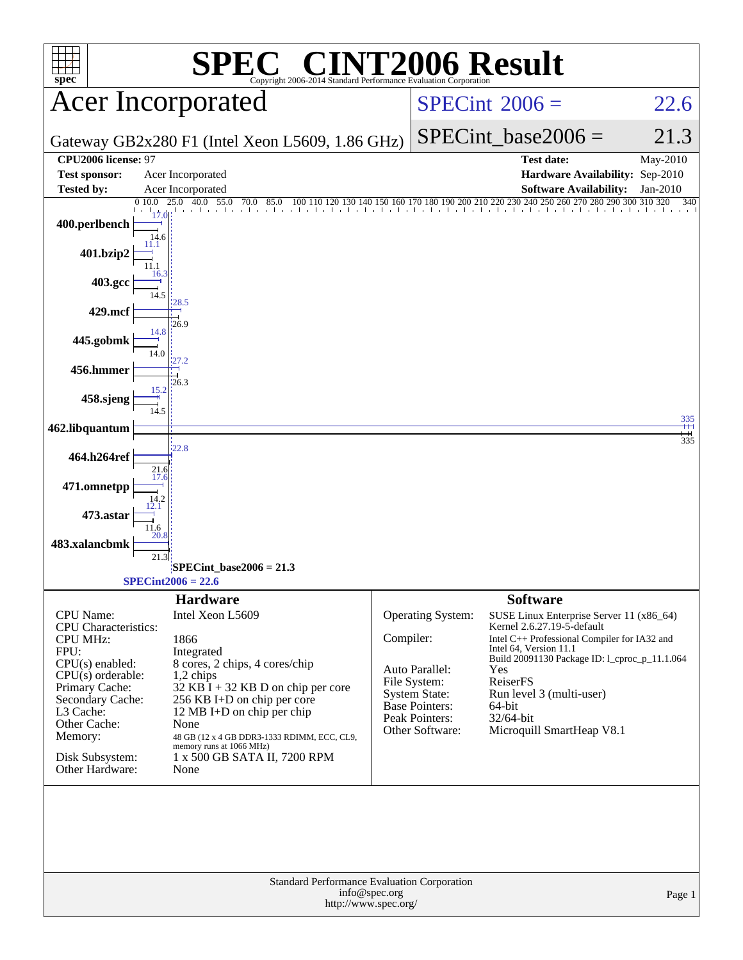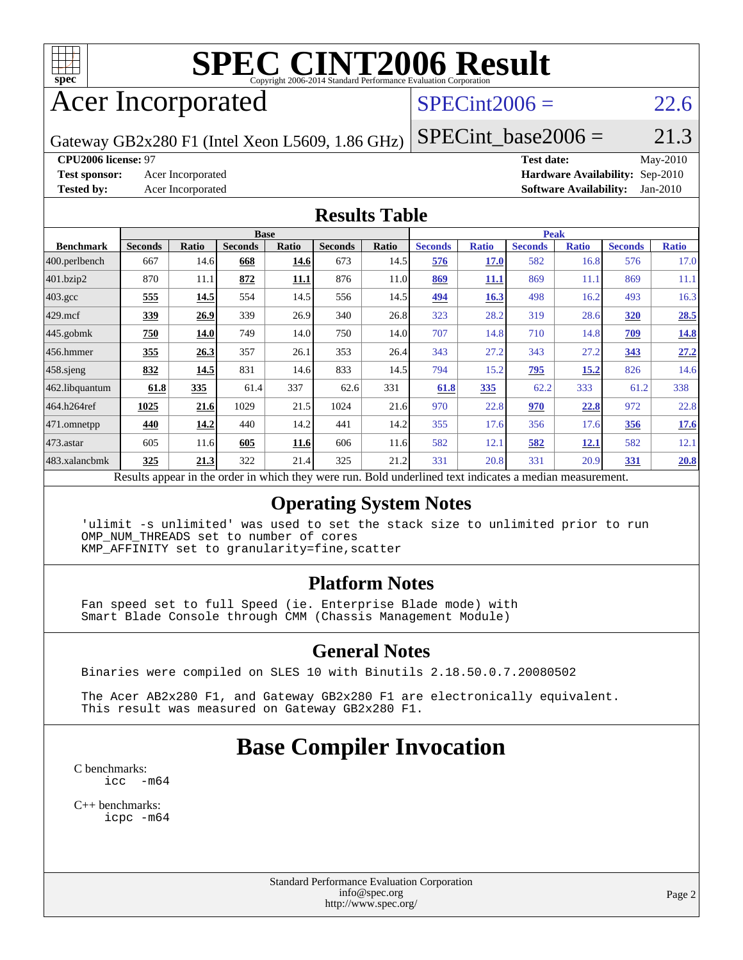

# **[SPEC CINT2006 Result](http://www.spec.org/auto/cpu2006/Docs/result-fields.html#SPECCINT2006Result)**

# Acer Incorporated

## $SPECint2006 = 22.6$  $SPECint2006 = 22.6$

Gateway GB2x280 F1 (Intel Xeon L5609, 1.86 GHz)

 $SPECTnt\_base2006 = 21.3$ **[CPU2006 license:](http://www.spec.org/auto/cpu2006/Docs/result-fields.html#CPU2006license)** 97 **[Test date:](http://www.spec.org/auto/cpu2006/Docs/result-fields.html#Testdate)** May-2010

**[Test sponsor:](http://www.spec.org/auto/cpu2006/Docs/result-fields.html#Testsponsor)** Acer Incorporated **[Hardware Availability:](http://www.spec.org/auto/cpu2006/Docs/result-fields.html#HardwareAvailability)** Sep-2010 **[Tested by:](http://www.spec.org/auto/cpu2006/Docs/result-fields.html#Testedby)** Acer Incorporated **[Software Availability:](http://www.spec.org/auto/cpu2006/Docs/result-fields.html#SoftwareAvailability)** Jan-2010

#### **[Results Table](http://www.spec.org/auto/cpu2006/Docs/result-fields.html#ResultsTable)**

|                         | <b>Base</b>                                                                                             |       |                |             |                |       |                | <b>Peak</b>  |                |              |                |              |  |  |
|-------------------------|---------------------------------------------------------------------------------------------------------|-------|----------------|-------------|----------------|-------|----------------|--------------|----------------|--------------|----------------|--------------|--|--|
| <b>Benchmark</b>        | <b>Seconds</b>                                                                                          | Ratio | <b>Seconds</b> | Ratio       | <b>Seconds</b> | Ratio | <b>Seconds</b> | <b>Ratio</b> | <b>Seconds</b> | <b>Ratio</b> | <b>Seconds</b> | <b>Ratio</b> |  |  |
| $ 400.\text{perlbench}$ | 667                                                                                                     | 14.6  | 668            | 14.6        | 673            | 14.5  | 576            | <b>17.0</b>  | 582            | 16.8         | 576            | 17.0         |  |  |
| 401.bzip2               | 870                                                                                                     | 11.1  | 872            | <b>11.1</b> | 876            | 11.0  | 869            | <u>11,1</u>  | 869            | 11.1         | 869            | 11.1         |  |  |
| $403.\text{gcc}$        | 555                                                                                                     | 14.5  | 554            | 14.5        | 556            | 14.5  | 494            | 16.3         | 498            | 16.2         | 493            | 16.3         |  |  |
| $429$ .mcf              | 339                                                                                                     | 26.9  | 339            | 26.9        | 340            | 26.8  | 323            | 28.2         | 319            | 28.6         | <b>320</b>     | 28.5         |  |  |
| $445$ .gobmk            | 750                                                                                                     | 14.0  | 749            | 14.0        | 750            | 14.0  | 707            | 14.8         | 710            | 14.8         | 709            | 14.8         |  |  |
| 456.hmmer               | 355                                                                                                     | 26.3  | 357            | 26.1        | 353            | 26.4  | 343            | 27.2         | 343            | 27.2         | 343            | 27.2         |  |  |
| $458$ .sjeng            | 832                                                                                                     | 14.5  | 831            | 14.6        | 833            | 14.5  | 794            | 15.2         | <u>795</u>     | 15.2         | 826            | 14.6         |  |  |
| 462.libquantum          | 61.8                                                                                                    | 335   | 61.4           | 337         | 62.6           | 331   | 61.8           | 335          | 62.2           | 333          | 61.2           | 338          |  |  |
| 464.h264ref             | 1025                                                                                                    | 21.6  | 1029           | 21.5        | 1024           | 21.6  | 970            | 22.8         | 970            | 22.8         | 972            | 22.8         |  |  |
| 471.omnetpp             | 440                                                                                                     | 14.2  | 440            | 14.2        | 441            | 14.2  | 355            | 17.6         | 356            | 17.6         | 356            | 17.6         |  |  |
| $ 473$ . astar          | 605                                                                                                     | 11.6  | 605            | 11.6        | 606            | 11.6  | 582            | 12.1         | 582            | <u>12.1</u>  | 582            | 12.1         |  |  |
| 483.xalancbmk           | 325                                                                                                     | 21.3  | 322            | 21.4        | 325            | 21.2  | 331            | 20.8         | 331            | 20.9         | 331            | 20.8         |  |  |
|                         | Recults appear in the order in which they were run. Rold underlined text indicates a median measurement |       |                |             |                |       |                |              |                |              |                |              |  |  |

sults appear in the [order in which they were run.](http://www.spec.org/auto/cpu2006/Docs/result-fields.html#RunOrder) Bold underlined text [indicates a median measurement.](http://www.spec.org/auto/cpu2006/Docs/result-fields.html#Median)

#### **[Operating System Notes](http://www.spec.org/auto/cpu2006/Docs/result-fields.html#OperatingSystemNotes)**

 'ulimit -s unlimited' was used to set the stack size to unlimited prior to run OMP\_NUM\_THREADS set to number of cores KMP\_AFFINITY set to granularity=fine,scatter

#### **[Platform Notes](http://www.spec.org/auto/cpu2006/Docs/result-fields.html#PlatformNotes)**

 Fan speed set to full Speed (ie. Enterprise Blade mode) with Smart Blade Console through CMM (Chassis Management Module)

#### **[General Notes](http://www.spec.org/auto/cpu2006/Docs/result-fields.html#GeneralNotes)**

Binaries were compiled on SLES 10 with Binutils 2.18.50.0.7.20080502

 The Acer AB2x280 F1, and Gateway GB2x280 F1 are electronically equivalent. This result was measured on Gateway GB2x280 F1.

# **[Base Compiler Invocation](http://www.spec.org/auto/cpu2006/Docs/result-fields.html#BaseCompilerInvocation)**

[C benchmarks](http://www.spec.org/auto/cpu2006/Docs/result-fields.html#Cbenchmarks): [icc -m64](http://www.spec.org/cpu2006/results/res2010q3/cpu2006-20100715-12387.flags.html#user_CCbase_intel_icc_64bit_f346026e86af2a669e726fe758c88044)

[C++ benchmarks:](http://www.spec.org/auto/cpu2006/Docs/result-fields.html#CXXbenchmarks) [icpc -m64](http://www.spec.org/cpu2006/results/res2010q3/cpu2006-20100715-12387.flags.html#user_CXXbase_intel_icpc_64bit_fc66a5337ce925472a5c54ad6a0de310)

> Standard Performance Evaluation Corporation [info@spec.org](mailto:info@spec.org) <http://www.spec.org/>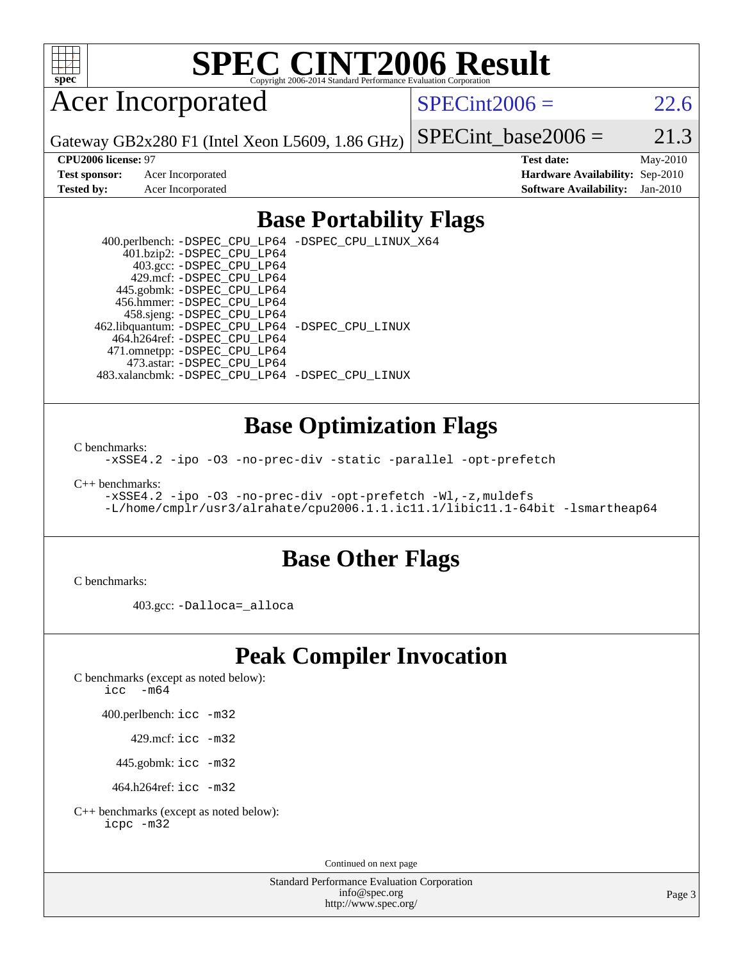

# **[SPEC CINT2006 Result](http://www.spec.org/auto/cpu2006/Docs/result-fields.html#SPECCINT2006Result)**

# Acer Incorporated

 $SPECint2006 = 22.6$  $SPECint2006 = 22.6$ 

Gateway GB2x280 F1 (Intel Xeon L5609, 1.86 GHz)

**[CPU2006 license:](http://www.spec.org/auto/cpu2006/Docs/result-fields.html#CPU2006license)** 97 **[Test date:](http://www.spec.org/auto/cpu2006/Docs/result-fields.html#Testdate)** May-2010 **[Test sponsor:](http://www.spec.org/auto/cpu2006/Docs/result-fields.html#Testsponsor)** Acer Incorporated **[Hardware Availability:](http://www.spec.org/auto/cpu2006/Docs/result-fields.html#HardwareAvailability)** Sep-2010 **[Tested by:](http://www.spec.org/auto/cpu2006/Docs/result-fields.html#Testedby)** Acer Incorporated **[Software Availability:](http://www.spec.org/auto/cpu2006/Docs/result-fields.html#SoftwareAvailability)** Jan-2010

SPECint base2006 =  $21.3$ 

## **[Base Portability Flags](http://www.spec.org/auto/cpu2006/Docs/result-fields.html#BasePortabilityFlags)**

 400.perlbench: [-DSPEC\\_CPU\\_LP64](http://www.spec.org/cpu2006/results/res2010q3/cpu2006-20100715-12387.flags.html#b400.perlbench_basePORTABILITY_DSPEC_CPU_LP64) [-DSPEC\\_CPU\\_LINUX\\_X64](http://www.spec.org/cpu2006/results/res2010q3/cpu2006-20100715-12387.flags.html#b400.perlbench_baseCPORTABILITY_DSPEC_CPU_LINUX_X64) 401.bzip2: [-DSPEC\\_CPU\\_LP64](http://www.spec.org/cpu2006/results/res2010q3/cpu2006-20100715-12387.flags.html#suite_basePORTABILITY401_bzip2_DSPEC_CPU_LP64) 403.gcc: [-DSPEC\\_CPU\\_LP64](http://www.spec.org/cpu2006/results/res2010q3/cpu2006-20100715-12387.flags.html#suite_basePORTABILITY403_gcc_DSPEC_CPU_LP64) 429.mcf: [-DSPEC\\_CPU\\_LP64](http://www.spec.org/cpu2006/results/res2010q3/cpu2006-20100715-12387.flags.html#suite_basePORTABILITY429_mcf_DSPEC_CPU_LP64) 445.gobmk: [-DSPEC\\_CPU\\_LP64](http://www.spec.org/cpu2006/results/res2010q3/cpu2006-20100715-12387.flags.html#suite_basePORTABILITY445_gobmk_DSPEC_CPU_LP64) 456.hmmer: [-DSPEC\\_CPU\\_LP64](http://www.spec.org/cpu2006/results/res2010q3/cpu2006-20100715-12387.flags.html#suite_basePORTABILITY456_hmmer_DSPEC_CPU_LP64) 458.sjeng: [-DSPEC\\_CPU\\_LP64](http://www.spec.org/cpu2006/results/res2010q3/cpu2006-20100715-12387.flags.html#suite_basePORTABILITY458_sjeng_DSPEC_CPU_LP64) 462.libquantum: [-DSPEC\\_CPU\\_LP64](http://www.spec.org/cpu2006/results/res2010q3/cpu2006-20100715-12387.flags.html#suite_basePORTABILITY462_libquantum_DSPEC_CPU_LP64) [-DSPEC\\_CPU\\_LINUX](http://www.spec.org/cpu2006/results/res2010q3/cpu2006-20100715-12387.flags.html#b462.libquantum_baseCPORTABILITY_DSPEC_CPU_LINUX) 464.h264ref: [-DSPEC\\_CPU\\_LP64](http://www.spec.org/cpu2006/results/res2010q3/cpu2006-20100715-12387.flags.html#suite_basePORTABILITY464_h264ref_DSPEC_CPU_LP64) 471.omnetpp: [-DSPEC\\_CPU\\_LP64](http://www.spec.org/cpu2006/results/res2010q3/cpu2006-20100715-12387.flags.html#suite_basePORTABILITY471_omnetpp_DSPEC_CPU_LP64) 473.astar: [-DSPEC\\_CPU\\_LP64](http://www.spec.org/cpu2006/results/res2010q3/cpu2006-20100715-12387.flags.html#suite_basePORTABILITY473_astar_DSPEC_CPU_LP64) 483.xalancbmk: [-DSPEC\\_CPU\\_LP64](http://www.spec.org/cpu2006/results/res2010q3/cpu2006-20100715-12387.flags.html#suite_basePORTABILITY483_xalancbmk_DSPEC_CPU_LP64) [-DSPEC\\_CPU\\_LINUX](http://www.spec.org/cpu2006/results/res2010q3/cpu2006-20100715-12387.flags.html#b483.xalancbmk_baseCXXPORTABILITY_DSPEC_CPU_LINUX)

### **[Base Optimization Flags](http://www.spec.org/auto/cpu2006/Docs/result-fields.html#BaseOptimizationFlags)**

[C benchmarks](http://www.spec.org/auto/cpu2006/Docs/result-fields.html#Cbenchmarks):

[-xSSE4.2](http://www.spec.org/cpu2006/results/res2010q3/cpu2006-20100715-12387.flags.html#user_CCbase_f-xSSE42_f91528193cf0b216347adb8b939d4107) [-ipo](http://www.spec.org/cpu2006/results/res2010q3/cpu2006-20100715-12387.flags.html#user_CCbase_f-ipo) [-O3](http://www.spec.org/cpu2006/results/res2010q3/cpu2006-20100715-12387.flags.html#user_CCbase_f-O3) [-no-prec-div](http://www.spec.org/cpu2006/results/res2010q3/cpu2006-20100715-12387.flags.html#user_CCbase_f-no-prec-div) [-static](http://www.spec.org/cpu2006/results/res2010q3/cpu2006-20100715-12387.flags.html#user_CCbase_f-static) [-parallel](http://www.spec.org/cpu2006/results/res2010q3/cpu2006-20100715-12387.flags.html#user_CCbase_f-parallel) [-opt-prefetch](http://www.spec.org/cpu2006/results/res2010q3/cpu2006-20100715-12387.flags.html#user_CCbase_f-opt-prefetch)

[C++ benchmarks:](http://www.spec.org/auto/cpu2006/Docs/result-fields.html#CXXbenchmarks)

```
-xSSE4.2 -ipo -O3 -no-prec-div -opt-prefetch -Wl,-z,muldefs
-L/home/cmplr/usr3/alrahate/cpu2006.1.1.ic11.1/libic11.1-64bit -lsmartheap64
```
#### **[Base Other Flags](http://www.spec.org/auto/cpu2006/Docs/result-fields.html#BaseOtherFlags)**

[C benchmarks](http://www.spec.org/auto/cpu2006/Docs/result-fields.html#Cbenchmarks):

403.gcc: [-Dalloca=\\_alloca](http://www.spec.org/cpu2006/results/res2010q3/cpu2006-20100715-12387.flags.html#b403.gcc_baseEXTRA_CFLAGS_Dalloca_be3056838c12de2578596ca5467af7f3)

# **[Peak Compiler Invocation](http://www.spec.org/auto/cpu2006/Docs/result-fields.html#PeakCompilerInvocation)**

[C benchmarks \(except as noted below\)](http://www.spec.org/auto/cpu2006/Docs/result-fields.html#Cbenchmarksexceptasnotedbelow):

icc  $-m64$ 

400.perlbench: [icc -m32](http://www.spec.org/cpu2006/results/res2010q3/cpu2006-20100715-12387.flags.html#user_peakCCLD400_perlbench_intel_icc_32bit_a6a621f8d50482236b970c6ac5f55f93)

429.mcf: [icc -m32](http://www.spec.org/cpu2006/results/res2010q3/cpu2006-20100715-12387.flags.html#user_peakCCLD429_mcf_intel_icc_32bit_a6a621f8d50482236b970c6ac5f55f93)

445.gobmk: [icc -m32](http://www.spec.org/cpu2006/results/res2010q3/cpu2006-20100715-12387.flags.html#user_peakCCLD445_gobmk_intel_icc_32bit_a6a621f8d50482236b970c6ac5f55f93)

464.h264ref: [icc -m32](http://www.spec.org/cpu2006/results/res2010q3/cpu2006-20100715-12387.flags.html#user_peakCCLD464_h264ref_intel_icc_32bit_a6a621f8d50482236b970c6ac5f55f93)

[C++ benchmarks \(except as noted below\):](http://www.spec.org/auto/cpu2006/Docs/result-fields.html#CXXbenchmarksexceptasnotedbelow) [icpc -m32](http://www.spec.org/cpu2006/results/res2010q3/cpu2006-20100715-12387.flags.html#user_CXXpeak_intel_icpc_32bit_4e5a5ef1a53fd332b3c49e69c3330699)

Continued on next page

Standard Performance Evaluation Corporation [info@spec.org](mailto:info@spec.org) <http://www.spec.org/>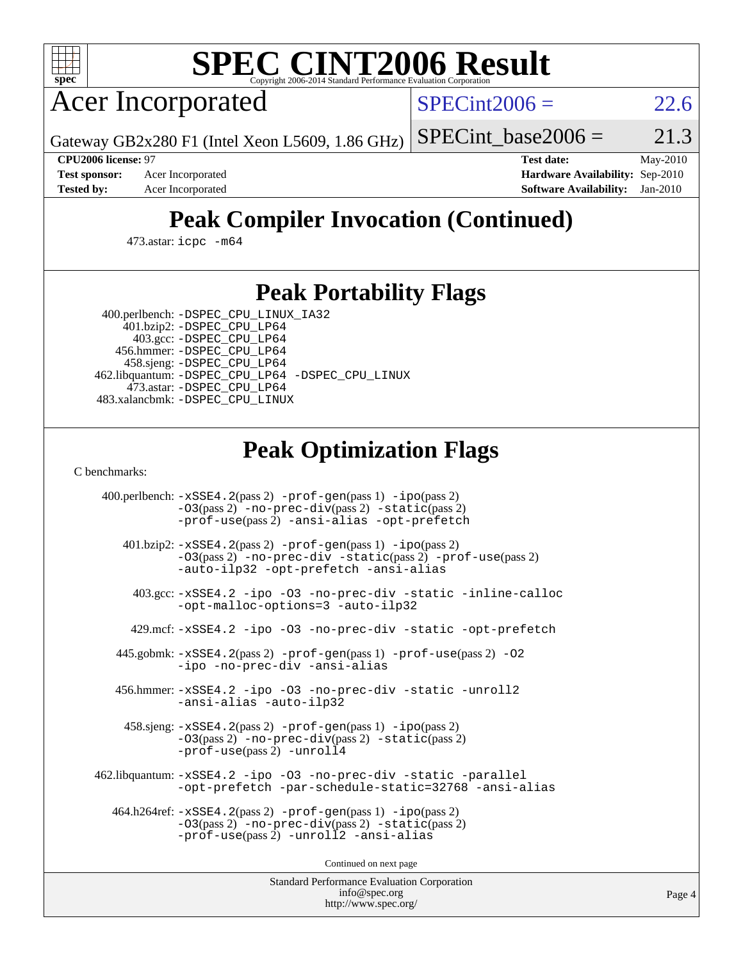

# **[SPEC CINT2006 Result](http://www.spec.org/auto/cpu2006/Docs/result-fields.html#SPECCINT2006Result)**

Acer Incorporated

 $SPECint2006 = 22.6$  $SPECint2006 = 22.6$ 

Gateway GB2x280 F1 (Intel Xeon L5609, 1.86 GHz)

SPECint base2006 =  $21.3$ 

**[CPU2006 license:](http://www.spec.org/auto/cpu2006/Docs/result-fields.html#CPU2006license)** 97 **[Test date:](http://www.spec.org/auto/cpu2006/Docs/result-fields.html#Testdate)** May-2010 **[Test sponsor:](http://www.spec.org/auto/cpu2006/Docs/result-fields.html#Testsponsor)** Acer Incorporated **[Hardware Availability:](http://www.spec.org/auto/cpu2006/Docs/result-fields.html#HardwareAvailability)** Sep-2010 **[Tested by:](http://www.spec.org/auto/cpu2006/Docs/result-fields.html#Testedby)** Acer Incorporated **[Software Availability:](http://www.spec.org/auto/cpu2006/Docs/result-fields.html#SoftwareAvailability)** Jan-2010

# **[Peak Compiler Invocation \(Continued\)](http://www.spec.org/auto/cpu2006/Docs/result-fields.html#PeakCompilerInvocation)**

473.astar: [icpc -m64](http://www.spec.org/cpu2006/results/res2010q3/cpu2006-20100715-12387.flags.html#user_peakCXXLD473_astar_intel_icpc_64bit_fc66a5337ce925472a5c54ad6a0de310)

## **[Peak Portability Flags](http://www.spec.org/auto/cpu2006/Docs/result-fields.html#PeakPortabilityFlags)**

 400.perlbench: [-DSPEC\\_CPU\\_LINUX\\_IA32](http://www.spec.org/cpu2006/results/res2010q3/cpu2006-20100715-12387.flags.html#b400.perlbench_peakCPORTABILITY_DSPEC_CPU_LINUX_IA32) 401.bzip2: [-DSPEC\\_CPU\\_LP64](http://www.spec.org/cpu2006/results/res2010q3/cpu2006-20100715-12387.flags.html#suite_peakPORTABILITY401_bzip2_DSPEC_CPU_LP64)

 403.gcc: [-DSPEC\\_CPU\\_LP64](http://www.spec.org/cpu2006/results/res2010q3/cpu2006-20100715-12387.flags.html#suite_peakPORTABILITY403_gcc_DSPEC_CPU_LP64) 456.hmmer: [-DSPEC\\_CPU\\_LP64](http://www.spec.org/cpu2006/results/res2010q3/cpu2006-20100715-12387.flags.html#suite_peakPORTABILITY456_hmmer_DSPEC_CPU_LP64) 458.sjeng: [-DSPEC\\_CPU\\_LP64](http://www.spec.org/cpu2006/results/res2010q3/cpu2006-20100715-12387.flags.html#suite_peakPORTABILITY458_sjeng_DSPEC_CPU_LP64) 462.libquantum: [-DSPEC\\_CPU\\_LP64](http://www.spec.org/cpu2006/results/res2010q3/cpu2006-20100715-12387.flags.html#suite_peakPORTABILITY462_libquantum_DSPEC_CPU_LP64) [-DSPEC\\_CPU\\_LINUX](http://www.spec.org/cpu2006/results/res2010q3/cpu2006-20100715-12387.flags.html#b462.libquantum_peakCPORTABILITY_DSPEC_CPU_LINUX) 473.astar: [-DSPEC\\_CPU\\_LP64](http://www.spec.org/cpu2006/results/res2010q3/cpu2006-20100715-12387.flags.html#suite_peakPORTABILITY473_astar_DSPEC_CPU_LP64) 483.xalancbmk: [-DSPEC\\_CPU\\_LINUX](http://www.spec.org/cpu2006/results/res2010q3/cpu2006-20100715-12387.flags.html#b483.xalancbmk_peakCXXPORTABILITY_DSPEC_CPU_LINUX)

# **[Peak Optimization Flags](http://www.spec.org/auto/cpu2006/Docs/result-fields.html#PeakOptimizationFlags)**

[C benchmarks](http://www.spec.org/auto/cpu2006/Docs/result-fields.html#Cbenchmarks):

 400.perlbench: [-xSSE4.2](http://www.spec.org/cpu2006/results/res2010q3/cpu2006-20100715-12387.flags.html#user_peakPASS2_CFLAGSPASS2_LDCFLAGS400_perlbench_f-xSSE42_f91528193cf0b216347adb8b939d4107)(pass 2) [-prof-gen](http://www.spec.org/cpu2006/results/res2010q3/cpu2006-20100715-12387.flags.html#user_peakPASS1_CFLAGSPASS1_LDCFLAGS400_perlbench_prof_gen_e43856698f6ca7b7e442dfd80e94a8fc)(pass 1) [-ipo](http://www.spec.org/cpu2006/results/res2010q3/cpu2006-20100715-12387.flags.html#user_peakPASS2_CFLAGSPASS2_LDCFLAGS400_perlbench_f-ipo)(pass 2) [-O3](http://www.spec.org/cpu2006/results/res2010q3/cpu2006-20100715-12387.flags.html#user_peakPASS2_CFLAGSPASS2_LDCFLAGS400_perlbench_f-O3)(pass 2) [-no-prec-div](http://www.spec.org/cpu2006/results/res2010q3/cpu2006-20100715-12387.flags.html#user_peakPASS2_CFLAGSPASS2_LDCFLAGS400_perlbench_f-no-prec-div)(pass 2) [-static](http://www.spec.org/cpu2006/results/res2010q3/cpu2006-20100715-12387.flags.html#user_peakPASS2_CFLAGSPASS2_LDCFLAGS400_perlbench_f-static)(pass 2) [-prof-use](http://www.spec.org/cpu2006/results/res2010q3/cpu2006-20100715-12387.flags.html#user_peakPASS2_CFLAGSPASS2_LDCFLAGS400_perlbench_prof_use_bccf7792157ff70d64e32fe3e1250b55)(pass 2) [-ansi-alias](http://www.spec.org/cpu2006/results/res2010q3/cpu2006-20100715-12387.flags.html#user_peakCOPTIMIZE400_perlbench_f-ansi-alias) [-opt-prefetch](http://www.spec.org/cpu2006/results/res2010q3/cpu2006-20100715-12387.flags.html#user_peakCOPTIMIZE400_perlbench_f-opt-prefetch) 401.bzip2: [-xSSE4.2](http://www.spec.org/cpu2006/results/res2010q3/cpu2006-20100715-12387.flags.html#user_peakPASS2_CFLAGSPASS2_LDCFLAGS401_bzip2_f-xSSE42_f91528193cf0b216347adb8b939d4107)(pass 2) [-prof-gen](http://www.spec.org/cpu2006/results/res2010q3/cpu2006-20100715-12387.flags.html#user_peakPASS1_CFLAGSPASS1_LDCFLAGS401_bzip2_prof_gen_e43856698f6ca7b7e442dfd80e94a8fc)(pass 1) [-ipo](http://www.spec.org/cpu2006/results/res2010q3/cpu2006-20100715-12387.flags.html#user_peakPASS2_CFLAGSPASS2_LDCFLAGS401_bzip2_f-ipo)(pass 2) [-O3](http://www.spec.org/cpu2006/results/res2010q3/cpu2006-20100715-12387.flags.html#user_peakPASS2_CFLAGSPASS2_LDCFLAGS401_bzip2_f-O3)(pass 2) [-no-prec-div](http://www.spec.org/cpu2006/results/res2010q3/cpu2006-20100715-12387.flags.html#user_peakCOPTIMIZEPASS2_CFLAGSPASS2_LDCFLAGS401_bzip2_f-no-prec-div) [-static](http://www.spec.org/cpu2006/results/res2010q3/cpu2006-20100715-12387.flags.html#user_peakPASS2_CFLAGSPASS2_LDCFLAGS401_bzip2_f-static)(pass 2) [-prof-use](http://www.spec.org/cpu2006/results/res2010q3/cpu2006-20100715-12387.flags.html#user_peakPASS2_CFLAGSPASS2_LDCFLAGS401_bzip2_prof_use_bccf7792157ff70d64e32fe3e1250b55)(pass 2) [-auto-ilp32](http://www.spec.org/cpu2006/results/res2010q3/cpu2006-20100715-12387.flags.html#user_peakCOPTIMIZE401_bzip2_f-auto-ilp32) [-opt-prefetch](http://www.spec.org/cpu2006/results/res2010q3/cpu2006-20100715-12387.flags.html#user_peakCOPTIMIZE401_bzip2_f-opt-prefetch) [-ansi-alias](http://www.spec.org/cpu2006/results/res2010q3/cpu2006-20100715-12387.flags.html#user_peakCOPTIMIZE401_bzip2_f-ansi-alias) 403.gcc: [-xSSE4.2](http://www.spec.org/cpu2006/results/res2010q3/cpu2006-20100715-12387.flags.html#user_peakCOPTIMIZE403_gcc_f-xSSE42_f91528193cf0b216347adb8b939d4107) [-ipo](http://www.spec.org/cpu2006/results/res2010q3/cpu2006-20100715-12387.flags.html#user_peakCOPTIMIZE403_gcc_f-ipo) [-O3](http://www.spec.org/cpu2006/results/res2010q3/cpu2006-20100715-12387.flags.html#user_peakCOPTIMIZE403_gcc_f-O3) [-no-prec-div](http://www.spec.org/cpu2006/results/res2010q3/cpu2006-20100715-12387.flags.html#user_peakCOPTIMIZE403_gcc_f-no-prec-div) [-static](http://www.spec.org/cpu2006/results/res2010q3/cpu2006-20100715-12387.flags.html#user_peakCOPTIMIZE403_gcc_f-static) [-inline-calloc](http://www.spec.org/cpu2006/results/res2010q3/cpu2006-20100715-12387.flags.html#user_peakCOPTIMIZE403_gcc_f-inline-calloc) [-opt-malloc-options=3](http://www.spec.org/cpu2006/results/res2010q3/cpu2006-20100715-12387.flags.html#user_peakCOPTIMIZE403_gcc_f-opt-malloc-options_13ab9b803cf986b4ee62f0a5998c2238) [-auto-ilp32](http://www.spec.org/cpu2006/results/res2010q3/cpu2006-20100715-12387.flags.html#user_peakCOPTIMIZE403_gcc_f-auto-ilp32) 429.mcf: [-xSSE4.2](http://www.spec.org/cpu2006/results/res2010q3/cpu2006-20100715-12387.flags.html#user_peakCOPTIMIZE429_mcf_f-xSSE42_f91528193cf0b216347adb8b939d4107) [-ipo](http://www.spec.org/cpu2006/results/res2010q3/cpu2006-20100715-12387.flags.html#user_peakCOPTIMIZE429_mcf_f-ipo) [-O3](http://www.spec.org/cpu2006/results/res2010q3/cpu2006-20100715-12387.flags.html#user_peakCOPTIMIZE429_mcf_f-O3) [-no-prec-div](http://www.spec.org/cpu2006/results/res2010q3/cpu2006-20100715-12387.flags.html#user_peakCOPTIMIZE429_mcf_f-no-prec-div) [-static](http://www.spec.org/cpu2006/results/res2010q3/cpu2006-20100715-12387.flags.html#user_peakCOPTIMIZE429_mcf_f-static) [-opt-prefetch](http://www.spec.org/cpu2006/results/res2010q3/cpu2006-20100715-12387.flags.html#user_peakCOPTIMIZE429_mcf_f-opt-prefetch) 445.gobmk: [-xSSE4.2](http://www.spec.org/cpu2006/results/res2010q3/cpu2006-20100715-12387.flags.html#user_peakPASS2_CFLAGSPASS2_LDCFLAGS445_gobmk_f-xSSE42_f91528193cf0b216347adb8b939d4107)(pass 2) [-prof-gen](http://www.spec.org/cpu2006/results/res2010q3/cpu2006-20100715-12387.flags.html#user_peakPASS1_CFLAGSPASS1_LDCFLAGS445_gobmk_prof_gen_e43856698f6ca7b7e442dfd80e94a8fc)(pass 1) [-prof-use](http://www.spec.org/cpu2006/results/res2010q3/cpu2006-20100715-12387.flags.html#user_peakPASS2_CFLAGSPASS2_LDCFLAGS445_gobmk_prof_use_bccf7792157ff70d64e32fe3e1250b55)(pass 2) [-O2](http://www.spec.org/cpu2006/results/res2010q3/cpu2006-20100715-12387.flags.html#user_peakCOPTIMIZE445_gobmk_f-O2) [-ipo](http://www.spec.org/cpu2006/results/res2010q3/cpu2006-20100715-12387.flags.html#user_peakCOPTIMIZE445_gobmk_f-ipo) [-no-prec-div](http://www.spec.org/cpu2006/results/res2010q3/cpu2006-20100715-12387.flags.html#user_peakCOPTIMIZE445_gobmk_f-no-prec-div) [-ansi-alias](http://www.spec.org/cpu2006/results/res2010q3/cpu2006-20100715-12387.flags.html#user_peakCOPTIMIZE445_gobmk_f-ansi-alias) 456.hmmer: [-xSSE4.2](http://www.spec.org/cpu2006/results/res2010q3/cpu2006-20100715-12387.flags.html#user_peakCOPTIMIZE456_hmmer_f-xSSE42_f91528193cf0b216347adb8b939d4107) [-ipo](http://www.spec.org/cpu2006/results/res2010q3/cpu2006-20100715-12387.flags.html#user_peakCOPTIMIZE456_hmmer_f-ipo) [-O3](http://www.spec.org/cpu2006/results/res2010q3/cpu2006-20100715-12387.flags.html#user_peakCOPTIMIZE456_hmmer_f-O3) [-no-prec-div](http://www.spec.org/cpu2006/results/res2010q3/cpu2006-20100715-12387.flags.html#user_peakCOPTIMIZE456_hmmer_f-no-prec-div) [-static](http://www.spec.org/cpu2006/results/res2010q3/cpu2006-20100715-12387.flags.html#user_peakCOPTIMIZE456_hmmer_f-static) [-unroll2](http://www.spec.org/cpu2006/results/res2010q3/cpu2006-20100715-12387.flags.html#user_peakCOPTIMIZE456_hmmer_f-unroll_784dae83bebfb236979b41d2422d7ec2) [-ansi-alias](http://www.spec.org/cpu2006/results/res2010q3/cpu2006-20100715-12387.flags.html#user_peakCOPTIMIZE456_hmmer_f-ansi-alias) [-auto-ilp32](http://www.spec.org/cpu2006/results/res2010q3/cpu2006-20100715-12387.flags.html#user_peakCOPTIMIZE456_hmmer_f-auto-ilp32) 458.sjeng: [-xSSE4.2](http://www.spec.org/cpu2006/results/res2010q3/cpu2006-20100715-12387.flags.html#user_peakPASS2_CFLAGSPASS2_LDCFLAGS458_sjeng_f-xSSE42_f91528193cf0b216347adb8b939d4107)(pass 2) [-prof-gen](http://www.spec.org/cpu2006/results/res2010q3/cpu2006-20100715-12387.flags.html#user_peakPASS1_CFLAGSPASS1_LDCFLAGS458_sjeng_prof_gen_e43856698f6ca7b7e442dfd80e94a8fc)(pass 1) [-ipo](http://www.spec.org/cpu2006/results/res2010q3/cpu2006-20100715-12387.flags.html#user_peakPASS2_CFLAGSPASS2_LDCFLAGS458_sjeng_f-ipo)(pass 2) [-O3](http://www.spec.org/cpu2006/results/res2010q3/cpu2006-20100715-12387.flags.html#user_peakPASS2_CFLAGSPASS2_LDCFLAGS458_sjeng_f-O3)(pass 2) [-no-prec-div](http://www.spec.org/cpu2006/results/res2010q3/cpu2006-20100715-12387.flags.html#user_peakPASS2_CFLAGSPASS2_LDCFLAGS458_sjeng_f-no-prec-div)(pass 2) [-static](http://www.spec.org/cpu2006/results/res2010q3/cpu2006-20100715-12387.flags.html#user_peakPASS2_CFLAGSPASS2_LDCFLAGS458_sjeng_f-static)(pass 2) [-prof-use](http://www.spec.org/cpu2006/results/res2010q3/cpu2006-20100715-12387.flags.html#user_peakPASS2_CFLAGSPASS2_LDCFLAGS458_sjeng_prof_use_bccf7792157ff70d64e32fe3e1250b55)(pass 2) [-unroll4](http://www.spec.org/cpu2006/results/res2010q3/cpu2006-20100715-12387.flags.html#user_peakCOPTIMIZE458_sjeng_f-unroll_4e5e4ed65b7fd20bdcd365bec371b81f) 462.libquantum: [-xSSE4.2](http://www.spec.org/cpu2006/results/res2010q3/cpu2006-20100715-12387.flags.html#user_peakCOPTIMIZE462_libquantum_f-xSSE42_f91528193cf0b216347adb8b939d4107) [-ipo](http://www.spec.org/cpu2006/results/res2010q3/cpu2006-20100715-12387.flags.html#user_peakCOPTIMIZE462_libquantum_f-ipo) [-O3](http://www.spec.org/cpu2006/results/res2010q3/cpu2006-20100715-12387.flags.html#user_peakCOPTIMIZE462_libquantum_f-O3) [-no-prec-div](http://www.spec.org/cpu2006/results/res2010q3/cpu2006-20100715-12387.flags.html#user_peakCOPTIMIZE462_libquantum_f-no-prec-div) [-static](http://www.spec.org/cpu2006/results/res2010q3/cpu2006-20100715-12387.flags.html#user_peakCOPTIMIZE462_libquantum_f-static) [-parallel](http://www.spec.org/cpu2006/results/res2010q3/cpu2006-20100715-12387.flags.html#user_peakCOPTIMIZE462_libquantum_f-parallel) [-opt-prefetch](http://www.spec.org/cpu2006/results/res2010q3/cpu2006-20100715-12387.flags.html#user_peakCOPTIMIZE462_libquantum_f-opt-prefetch) [-par-schedule-static=32768](http://www.spec.org/cpu2006/results/res2010q3/cpu2006-20100715-12387.flags.html#user_peakCOPTIMIZE462_libquantum_f-par-schedule_9386bcd99ba64e99ee01d1aafefddd14) [-ansi-alias](http://www.spec.org/cpu2006/results/res2010q3/cpu2006-20100715-12387.flags.html#user_peakCOPTIMIZE462_libquantum_f-ansi-alias) 464.h264ref: [-xSSE4.2](http://www.spec.org/cpu2006/results/res2010q3/cpu2006-20100715-12387.flags.html#user_peakPASS2_CFLAGSPASS2_LDCFLAGS464_h264ref_f-xSSE42_f91528193cf0b216347adb8b939d4107)(pass 2) [-prof-gen](http://www.spec.org/cpu2006/results/res2010q3/cpu2006-20100715-12387.flags.html#user_peakPASS1_CFLAGSPASS1_LDCFLAGS464_h264ref_prof_gen_e43856698f6ca7b7e442dfd80e94a8fc)(pass 1) [-ipo](http://www.spec.org/cpu2006/results/res2010q3/cpu2006-20100715-12387.flags.html#user_peakPASS2_CFLAGSPASS2_LDCFLAGS464_h264ref_f-ipo)(pass 2) [-O3](http://www.spec.org/cpu2006/results/res2010q3/cpu2006-20100715-12387.flags.html#user_peakPASS2_CFLAGSPASS2_LDCFLAGS464_h264ref_f-O3)(pass 2) [-no-prec-div](http://www.spec.org/cpu2006/results/res2010q3/cpu2006-20100715-12387.flags.html#user_peakPASS2_CFLAGSPASS2_LDCFLAGS464_h264ref_f-no-prec-div)(pass 2) [-static](http://www.spec.org/cpu2006/results/res2010q3/cpu2006-20100715-12387.flags.html#user_peakPASS2_CFLAGSPASS2_LDCFLAGS464_h264ref_f-static)(pass 2) [-prof-use](http://www.spec.org/cpu2006/results/res2010q3/cpu2006-20100715-12387.flags.html#user_peakPASS2_CFLAGSPASS2_LDCFLAGS464_h264ref_prof_use_bccf7792157ff70d64e32fe3e1250b55)(pass 2) [-unroll2](http://www.spec.org/cpu2006/results/res2010q3/cpu2006-20100715-12387.flags.html#user_peakCOPTIMIZE464_h264ref_f-unroll_784dae83bebfb236979b41d2422d7ec2) [-ansi-alias](http://www.spec.org/cpu2006/results/res2010q3/cpu2006-20100715-12387.flags.html#user_peakCOPTIMIZE464_h264ref_f-ansi-alias)

Continued on next page

Standard Performance Evaluation Corporation [info@spec.org](mailto:info@spec.org) <http://www.spec.org/>